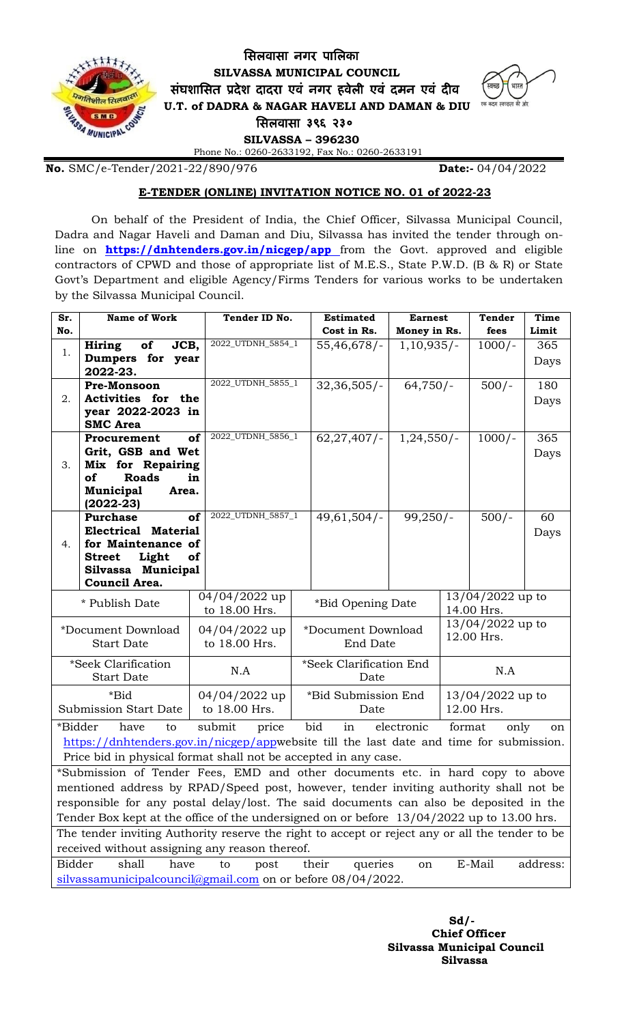

**No.** SMC/e-Tender/2021-22/890/976 **Date:-** 04/04/2022

## **E-TENDER (ONLINE) INVITATION NOTICE NO. 01 of 2022-23**

On behalf of the President of India, the Chief Officer, Silvassa Municipal Council, Dadra and Nagar Haveli and Daman and Diu, Silvassa has invited the tender through online on **<https://dnhtenders.gov.in/nicgep/app>** from the Govt. approved and eligible contractors of CPWD and those of appropriate list of M.E.S., State P.W.D. (B & R) or State Govt's Department and eligible Agency/Firms Tenders for various works to be undertaken by the Silvassa Municipal Council.

| Sr.<br><b>Name of Work</b>                                                                      | Tender ID No.                  | <b>Estimated</b>        | <b>Earnest</b> | <b>Tender</b>                  | Time  |
|-------------------------------------------------------------------------------------------------|--------------------------------|-------------------------|----------------|--------------------------------|-------|
| No.                                                                                             |                                | Cost in Rs.             | Money in Rs.   | fees                           | Limit |
| JCB,<br>of<br>Hiring<br>1.                                                                      | 2022_UTDNH_5854_1              | $55,46,678/-$           | $1,10,935/-$   | $1000/-$                       | 365   |
| Dumpers for year                                                                                |                                |                         |                |                                | Days  |
| 2022-23.                                                                                        | 2022_UTDNH_5855_1              |                         |                |                                |       |
| Pre-Monsoon                                                                                     |                                | $32,36,505/-$           | $64,750/-$     | $500/-$                        | 180   |
| Activities for the<br>2.<br>year 2022-2023 in                                                   |                                |                         |                |                                | Days  |
| <b>SMC Area</b>                                                                                 |                                |                         |                |                                |       |
| Procurement                                                                                     | 2022_UTDNH_5856_1<br>of        | $62,27,407/$ -          | $1,24,550/-$   | $1000/-$                       | 365   |
| Grit, GSB and Wet                                                                               |                                |                         |                |                                | Days  |
| Mix for Repairing<br>3.                                                                         |                                |                         |                |                                |       |
| <b>Roads</b><br>of                                                                              | in                             |                         |                |                                |       |
| Municipal<br>Area.                                                                              |                                |                         |                |                                |       |
| $(2022 - 23)$                                                                                   |                                |                         |                |                                |       |
| <b>Purchase</b>                                                                                 | 2022_UTDNH_5857_1<br>of        | $49,61,504/-$           | $99,250/-$     | $500/-$                        | 60    |
| <b>Electrical Material</b><br>for Maintenance of                                                |                                |                         |                |                                | Days  |
| 4.<br>Light<br><b>Street</b>                                                                    | of                             |                         |                |                                |       |
| Silvassa Municipal                                                                              |                                |                         |                |                                |       |
| Council Area.                                                                                   |                                |                         |                |                                |       |
|                                                                                                 | 04/04/2022 up                  |                         |                | 13/04/2022 up to               |       |
| * Publish Date                                                                                  | to 18.00 Hrs.                  | *Bid Opening Date       |                | 14.00 Hrs.                     |       |
| *Document Download                                                                              | 04/04/2022 up                  | *Document Download      |                | 13/04/2022 up to               |       |
| <b>Start Date</b>                                                                               | to 18.00 Hrs.                  | End Date                |                | 12.00 Hrs.                     |       |
|                                                                                                 |                                | *Seek Clarification End |                |                                |       |
| *Seek Clarification<br><b>Start Date</b>                                                        | N.A                            | Date                    |                | N.A                            |       |
|                                                                                                 |                                |                         |                |                                |       |
| *Bid<br><b>Submission Start Date</b>                                                            | 04/04/2022 up<br>to 18.00 Hrs. | *Bid Submission End     |                | 13/04/2022 up to<br>12.00 Hrs. |       |
|                                                                                                 |                                | Date                    |                |                                |       |
| bid<br>*Bidder<br>in<br>have<br>submit<br>price<br>electronic<br>format<br>to<br>only<br>on     |                                |                         |                |                                |       |
| https://dnhtenders.gov.in/nicgep/appwebsite till the last date and time for submission.         |                                |                         |                |                                |       |
| Price bid in physical format shall not be accepted in any case.                                 |                                |                         |                |                                |       |
| *Submission of Tender Fees, EMD and other documents etc. in hard copy to above                  |                                |                         |                |                                |       |
| mentioned address by RPAD/Speed post, however, tender inviting authority shall not be           |                                |                         |                |                                |       |
| responsible for any postal delay/lost. The said documents can also be deposited in the          |                                |                         |                |                                |       |
| Tender Box kept at the office of the undersigned on or before 13/04/2022 up to 13.00 hrs.       |                                |                         |                |                                |       |
| The tender inviting Authority reserve the right to accept or reject any or all the tender to be |                                |                         |                |                                |       |
| received without assigning any reason thereof.                                                  |                                |                         |                |                                |       |
| shall<br>their<br>E-Mail<br>Bidder<br>have<br>queries<br>address:<br>to<br>post<br>on           |                                |                         |                |                                |       |
| silvassamunicipalcouncil@gmail.com on or before 08/04/2022.                                     |                                |                         |                |                                |       |